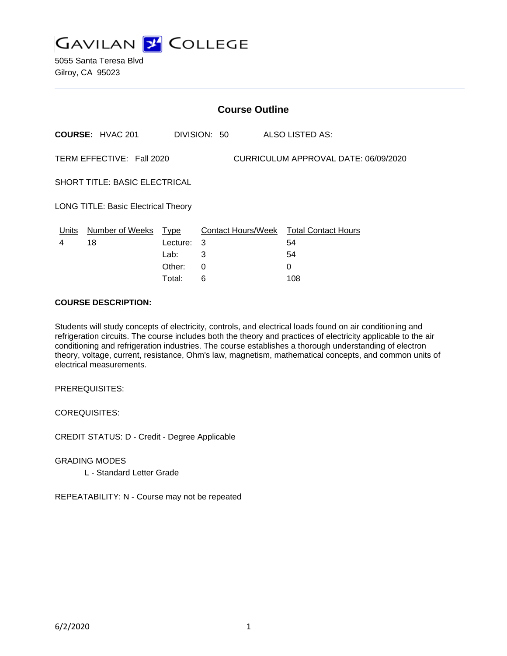

5055 Santa Teresa Blvd Gilroy, CA 95023

| <b>Course Outline</b>                                             |                         |            |              |                                        |
|-------------------------------------------------------------------|-------------------------|------------|--------------|----------------------------------------|
|                                                                   | <b>COURSE: HVAC 201</b> |            | DIVISION: 50 | ALSO LISTED AS:                        |
| TERM EFFECTIVE: Fall 2020<br>CURRICULUM APPROVAL DATE: 06/09/2020 |                         |            |              |                                        |
| <b>SHORT TITLE: BASIC ELECTRICAL</b>                              |                         |            |              |                                        |
| <b>LONG TITLE: Basic Electrical Theory</b>                        |                         |            |              |                                        |
| Units                                                             | Number of Weeks Type    |            |              | Contact Hours/Week Total Contact Hours |
| 4                                                                 | 18                      | Lecture: 3 |              | 54                                     |
|                                                                   |                         | Lab:       | 3            | 54                                     |
|                                                                   |                         | Other:     | 0            | 0                                      |
|                                                                   |                         | Total:     | 6            | 108                                    |

## **COURSE DESCRIPTION:**

Students will study concepts of electricity, controls, and electrical loads found on air conditioning and refrigeration circuits. The course includes both the theory and practices of electricity applicable to the air conditioning and refrigeration industries. The course establishes a thorough understanding of electron theory, voltage, current, resistance, Ohm's law, magnetism, mathematical concepts, and common units of electrical measurements.

PREREQUISITES:

COREQUISITES:

CREDIT STATUS: D - Credit - Degree Applicable

GRADING MODES L - Standard Letter Grade

REPEATABILITY: N - Course may not be repeated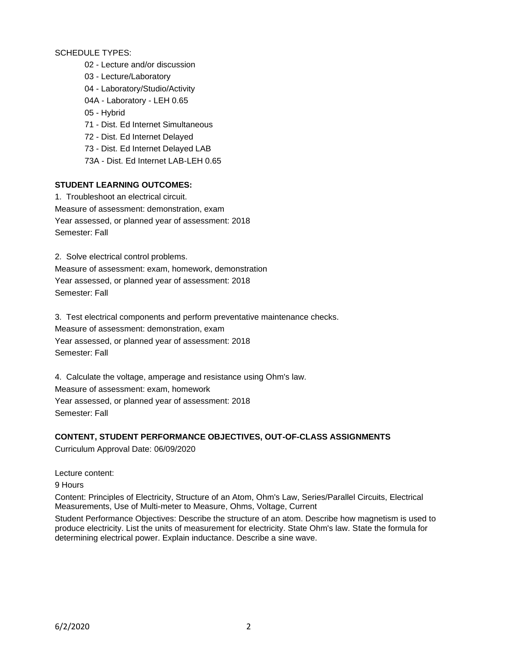# SCHEDULE TYPES:

- 02 Lecture and/or discussion
- 03 Lecture/Laboratory
- 04 Laboratory/Studio/Activity
- 04A Laboratory LEH 0.65
- 05 Hybrid
- 71 Dist. Ed Internet Simultaneous
- 72 Dist. Ed Internet Delayed
- 73 Dist. Ed Internet Delayed LAB
- 73A Dist. Ed Internet LAB-LEH 0.65

## **STUDENT LEARNING OUTCOMES:**

1. Troubleshoot an electrical circuit. Measure of assessment: demonstration, exam Year assessed, or planned year of assessment: 2018 Semester: Fall

2. Solve electrical control problems.

Measure of assessment: exam, homework, demonstration Year assessed, or planned year of assessment: 2018 Semester: Fall

3. Test electrical components and perform preventative maintenance checks. Measure of assessment: demonstration, exam Year assessed, or planned year of assessment: 2018 Semester: Fall

4. Calculate the voltage, amperage and resistance using Ohm's law. Measure of assessment: exam, homework Year assessed, or planned year of assessment: 2018 Semester: Fall

# **CONTENT, STUDENT PERFORMANCE OBJECTIVES, OUT-OF-CLASS ASSIGNMENTS**

Curriculum Approval Date: 06/09/2020

Lecture content:

9 Hours

Content: Principles of Electricity, Structure of an Atom, Ohm's Law, Series/Parallel Circuits, Electrical Measurements, Use of Multi-meter to Measure, Ohms, Voltage, Current

Student Performance Objectives: Describe the structure of an atom. Describe how magnetism is used to produce electricity. List the units of measurement for electricity. State Ohm's law. State the formula for determining electrical power. Explain inductance. Describe a sine wave.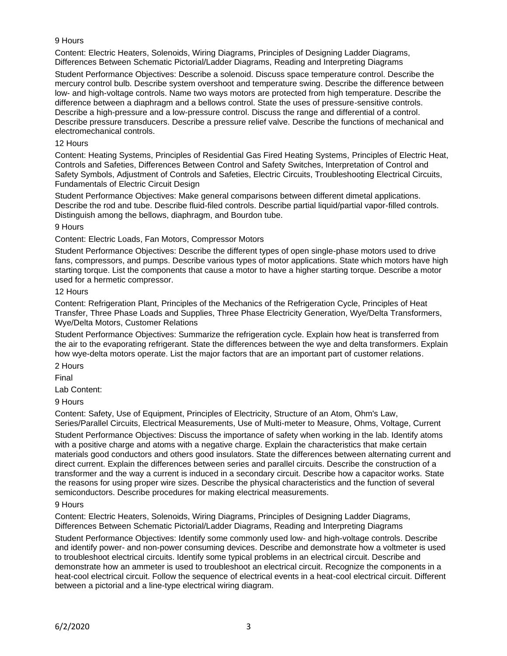# 9 Hours

Content: Electric Heaters, Solenoids, Wiring Diagrams, Principles of Designing Ladder Diagrams, Differences Between Schematic Pictorial/Ladder Diagrams, Reading and Interpreting Diagrams

Student Performance Objectives: Describe a solenoid. Discuss space temperature control. Describe the mercury control bulb. Describe system overshoot and temperature swing. Describe the difference between low- and high-voltage controls. Name two ways motors are protected from high temperature. Describe the difference between a diaphragm and a bellows control. State the uses of pressure-sensitive controls. Describe a high-pressure and a low-pressure control. Discuss the range and differential of a control. Describe pressure transducers. Describe a pressure relief valve. Describe the functions of mechanical and electromechanical controls.

## 12 Hours

Content: Heating Systems, Principles of Residential Gas Fired Heating Systems, Principles of Electric Heat, Controls and Safeties, Differences Between Control and Safety Switches, Interpretation of Control and Safety Symbols, Adjustment of Controls and Safeties, Electric Circuits, Troubleshooting Electrical Circuits, Fundamentals of Electric Circuit Design

Student Performance Objectives: Make general comparisons between different dimetal applications. Describe the rod and tube. Describe fluid-filed controls. Describe partial liquid/partial vapor-filled controls. Distinguish among the bellows, diaphragm, and Bourdon tube.

9 Hours

Content: Electric Loads, Fan Motors, Compressor Motors

Student Performance Objectives: Describe the different types of open single-phase motors used to drive fans, compressors, and pumps. Describe various types of motor applications. State which motors have high starting torque. List the components that cause a motor to have a higher starting torque. Describe a motor used for a hermetic compressor.

## 12 Hours

Content: Refrigeration Plant, Principles of the Mechanics of the Refrigeration Cycle, Principles of Heat Transfer, Three Phase Loads and Supplies, Three Phase Electricity Generation, Wye/Delta Transformers, Wye/Delta Motors, Customer Relations

Student Performance Objectives: Summarize the refrigeration cycle. Explain how heat is transferred from the air to the evaporating refrigerant. State the differences between the wye and delta transformers. Explain how wye-delta motors operate. List the major factors that are an important part of customer relations.

2 Hours

Final

Lab Content:

9 Hours

Content: Safety, Use of Equipment, Principles of Electricity, Structure of an Atom, Ohm's Law, Series/Parallel Circuits, Electrical Measurements, Use of Multi-meter to Measure, Ohms, Voltage, Current

Student Performance Objectives: Discuss the importance of safety when working in the lab. Identify atoms with a positive charge and atoms with a negative charge. Explain the characteristics that make certain materials good conductors and others good insulators. State the differences between alternating current and direct current. Explain the differences between series and parallel circuits. Describe the construction of a transformer and the way a current is induced in a secondary circuit. Describe how a capacitor works. State the reasons for using proper wire sizes. Describe the physical characteristics and the function of several semiconductors. Describe procedures for making electrical measurements.

#### 9 Hours

Content: Electric Heaters, Solenoids, Wiring Diagrams, Principles of Designing Ladder Diagrams, Differences Between Schematic Pictorial/Ladder Diagrams, Reading and Interpreting Diagrams

Student Performance Objectives: Identify some commonly used low- and high-voltage controls. Describe and identify power- and non-power consuming devices. Describe and demonstrate how a voltmeter is used to troubleshoot electrical circuits. Identify some typical problems in an electrical circuit. Describe and demonstrate how an ammeter is used to troubleshoot an electrical circuit. Recognize the components in a heat-cool electrical circuit. Follow the sequence of electrical events in a heat-cool electrical circuit. Different between a pictorial and a line-type electrical wiring diagram.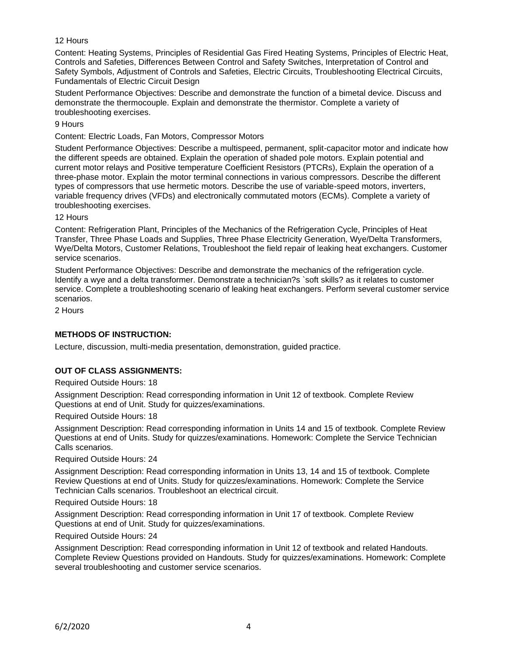## 12 Hours

Content: Heating Systems, Principles of Residential Gas Fired Heating Systems, Principles of Electric Heat, Controls and Safeties, Differences Between Control and Safety Switches, Interpretation of Control and Safety Symbols, Adjustment of Controls and Safeties, Electric Circuits, Troubleshooting Electrical Circuits, Fundamentals of Electric Circuit Design

Student Performance Objectives: Describe and demonstrate the function of a bimetal device. Discuss and demonstrate the thermocouple. Explain and demonstrate the thermistor. Complete a variety of troubleshooting exercises.

#### 9 Hours

Content: Electric Loads, Fan Motors, Compressor Motors

Student Performance Objectives: Describe a multispeed, permanent, split-capacitor motor and indicate how the different speeds are obtained. Explain the operation of shaded pole motors. Explain potential and current motor relays and Positive temperature Coefficient Resistors (PTCRs), Explain the operation of a three-phase motor. Explain the motor terminal connections in various compressors. Describe the different types of compressors that use hermetic motors. Describe the use of variable-speed motors, inverters, variable frequency drives (VFDs) and electronically commutated motors (ECMs). Complete a variety of troubleshooting exercises.

#### 12 Hours

Content: Refrigeration Plant, Principles of the Mechanics of the Refrigeration Cycle, Principles of Heat Transfer, Three Phase Loads and Supplies, Three Phase Electricity Generation, Wye/Delta Transformers, Wye/Delta Motors, Customer Relations, Troubleshoot the field repair of leaking heat exchangers. Customer service scenarios.

Student Performance Objectives: Describe and demonstrate the mechanics of the refrigeration cycle. Identify a wye and a delta transformer. Demonstrate a technician?s `soft skills? as it relates to customer service. Complete a troubleshooting scenario of leaking heat exchangers. Perform several customer service scenarios.

2 Hours

# **METHODS OF INSTRUCTION:**

Lecture, discussion, multi-media presentation, demonstration, guided practice.

# **OUT OF CLASS ASSIGNMENTS:**

Required Outside Hours: 18

Assignment Description: Read corresponding information in Unit 12 of textbook. Complete Review Questions at end of Unit. Study for quizzes/examinations.

Required Outside Hours: 18

Assignment Description: Read corresponding information in Units 14 and 15 of textbook. Complete Review Questions at end of Units. Study for quizzes/examinations. Homework: Complete the Service Technician Calls scenarios.

Required Outside Hours: 24

Assignment Description: Read corresponding information in Units 13, 14 and 15 of textbook. Complete Review Questions at end of Units. Study for quizzes/examinations. Homework: Complete the Service Technician Calls scenarios. Troubleshoot an electrical circuit.

Required Outside Hours: 18

Assignment Description: Read corresponding information in Unit 17 of textbook. Complete Review Questions at end of Unit. Study for quizzes/examinations.

Required Outside Hours: 24

Assignment Description: Read corresponding information in Unit 12 of textbook and related Handouts. Complete Review Questions provided on Handouts. Study for quizzes/examinations. Homework: Complete several troubleshooting and customer service scenarios.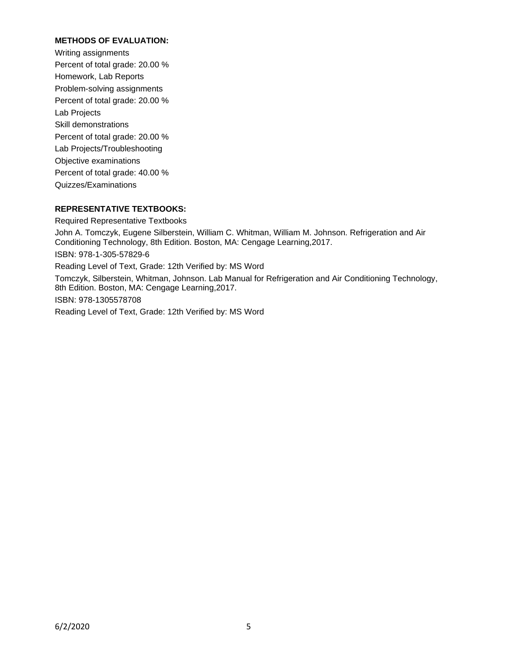# **METHODS OF EVALUATION:**

Writing assignments Percent of total grade: 20.00 % Homework, Lab Reports Problem-solving assignments Percent of total grade: 20.00 % Lab Projects Skill demonstrations Percent of total grade: 20.00 % Lab Projects/Troubleshooting Objective examinations Percent of total grade: 40.00 % Quizzes/Examinations

# **REPRESENTATIVE TEXTBOOKS:**

Required Representative Textbooks John A. Tomczyk, Eugene Silberstein, William C. Whitman, William M. Johnson. Refrigeration and Air Conditioning Technology, 8th Edition. Boston, MA: Cengage Learning,2017. ISBN: 978-1-305-57829-6 Reading Level of Text, Grade: 12th Verified by: MS Word Tomczyk, Silberstein, Whitman, Johnson. Lab Manual for Refrigeration and Air Conditioning Technology, 8th Edition. Boston, MA: Cengage Learning,2017. ISBN: 978-1305578708 Reading Level of Text, Grade: 12th Verified by: MS Word